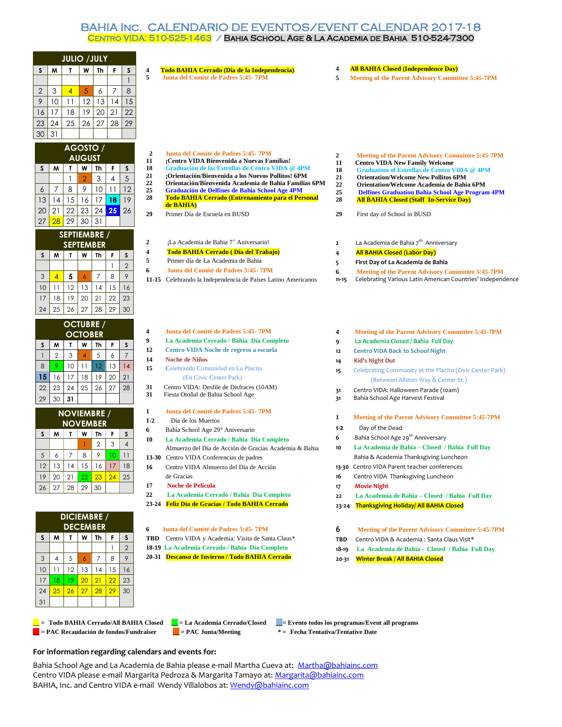## BAHIA Inc. CALENDARIO DE EVENTOS/EVENT CALENDAR 2017-18 Centro VIDA: 510-525-1463 / Bahia School Age & La Academia de Bahia 510-524-7300

|                 |                |                    |                 | <b>JULIO / JULY</b> |                |                 |                        |                                                                                                         |                |                                                                                                                        |
|-----------------|----------------|--------------------|-----------------|---------------------|----------------|-----------------|------------------------|---------------------------------------------------------------------------------------------------------|----------------|------------------------------------------------------------------------------------------------------------------------|
| S               | M              | $\mathbf{r}$       | W               | Th                  | F              | S               | 4                      | Todo BAHIA Cerrado (Día de la Independencia)                                                            | 4              | <b>All BAHIA Closed (Independence Day)</b>                                                                             |
|                 |                |                    |                 |                     |                | $\mathbf{1}$    | 5                      | Junta del Comité de Padres 5:45-7PM                                                                     | 5              | <b>Meeting of the Parent Advisory Committee 5:45-7PM</b>                                                               |
| $\overline{c}$  | 3              | $\overline{4}$     | 5               | 6                   | $\overline{7}$ | 8               |                        |                                                                                                         |                |                                                                                                                        |
| $\mathcal{P}$   | 10             | 11                 | 12              | 13                  | 14             | 15              |                        |                                                                                                         |                |                                                                                                                        |
| 16              | 17             | 18                 | 19              | 20                  | 21             | 22              |                        |                                                                                                         |                |                                                                                                                        |
|                 | 24             | 25                 | 26              | 27                  | 28             | 29              |                        |                                                                                                         |                |                                                                                                                        |
| $\frac{23}{30}$ |                |                    |                 |                     |                |                 |                        |                                                                                                         |                |                                                                                                                        |
|                 | 31             |                    |                 |                     |                |                 |                        |                                                                                                         |                |                                                                                                                        |
|                 |                |                    |                 | AGOSTO /            |                |                 |                        |                                                                                                         |                |                                                                                                                        |
|                 |                |                    | <b>AUGUST</b>   |                     |                |                 | $\boldsymbol{2}$<br>11 | Junta del Comité de Padres 5:45-7PM<br>¡Centro VIDA Bienvenida a Nuevas Familias!                       | 2              | <b>Meeting of the Parent Advisory Committee 5:45-7PM</b>                                                               |
| S               | W              | T                  | W               | Th                  | F              | S               | 18                     | Graduación de las Estrellas de Centro VIDA @ 4PM                                                        | 11<br>18       | <b>Centro VIDA New Family Welcome</b><br><b>Graduation of Estrellas de Centro VIDA @ 4PM</b>                           |
|                 |                | $\mathbf{1}$       | $\overline{2}$  | 3                   | 4              | $\sqrt{5}$      | 21                     | ¡Orientación/Bienvenida a los Nuevos Pollitos! 6PM                                                      | 21             | <b>Orientation/Welcome New Pollitos 6PM</b>                                                                            |
| 6               | 7              | 8                  | 9               | 10                  | 11             | 12              | 22<br>25               | Orientación/Bienvenida Academia de Bahia Familias 6PM<br>Graduación de Delfines de Bahia School Age 4PM | 22             | Orientation/Welcome Academia de Bahia 6PM                                                                              |
| 13              | 14             | 15                 | 16              | 17                  | 18             | 19              | 28                     | Todo BAHIA Cerrado (Entrenamiento para el Personal                                                      | 25<br>28       | <b>Delfines Graduation Bahia School Age Program 4PM</b><br><b>All BAHIA Closed (Staff In-Service Day)</b>              |
|                 | 21             | 22                 | 23              | 24                  | 25             |                 |                        | de BAHIA)                                                                                               |                |                                                                                                                        |
| 20              |                |                    |                 |                     |                | 26              | 29                     | Primer Día de Escuela en BUSD                                                                           | 29             | First day of School in BUSD                                                                                            |
| 27              | 28             | 29                 | 30              | 31                  |                |                 |                        |                                                                                                         |                |                                                                                                                        |
|                 |                | SEPTIEMBRE /       |                 |                     |                |                 |                        |                                                                                                         |                |                                                                                                                        |
|                 |                | <b>SEPTEMBER</b>   |                 |                     |                |                 | 2                      | ¡La Academia de Bahia 7º Aniversario!                                                                   | $\mathbf{2}$   | La Academia de Bahia 7 <sup>th</sup> Anniversary                                                                       |
| S               | M              | T                  | W               | Th                  | F              | S               | 4<br>5                 | Todo BAHIA Cerrado (Día del Trabajo)                                                                    | $\overline{4}$ | <b>All BAHIA Closed (Labor Day)</b>                                                                                    |
|                 |                |                    |                 |                     | $\mathbf{1}$   | $\overline{2}$  | 6                      | Primer día de La Academia de Bahia<br>Junta del Comité de Padres 5:45-7PM                               | 5              | First Day of La Academia de Bahia                                                                                      |
| $\mathsf 3$     | 4              | 5                  | $\ddot{\delta}$ | $\overline{7}$      | 8              | 9               |                        | 11-15 Celebrando la Independencia de Países Latino Americanos                                           | 6<br>$11 - 15$ | <b>Meeting of the Parent Advisory Committee 5:45-7PM</b><br>Celebrating Various Latin American Countries' Independence |
| 10              | 11             | 12                 | 13              | 14                  | 15             | 16              |                        |                                                                                                         |                |                                                                                                                        |
| 17              | 18             | 19                 | 20              | 21                  | 22             | 23              |                        |                                                                                                         |                |                                                                                                                        |
|                 |                |                    |                 |                     |                |                 |                        |                                                                                                         |                |                                                                                                                        |
| 24              | 25             | 26                 | 27              | 28                  | 29             | 30              |                        |                                                                                                         |                |                                                                                                                        |
|                 |                | <b>OCTUBRE</b>     |                 |                     |                |                 |                        |                                                                                                         |                |                                                                                                                        |
|                 |                |                    | <b>OCTOBER</b>  |                     |                |                 | 4                      | Junta del Comité de Padres 5:45-7PM                                                                     | 4              | <b>Meeting of the Parent Advisory Committee 5:45-7PM</b>                                                               |
| S               | M              | Т                  | W               | Th                  | F              | S               | 9                      | La Academia Cerrado / Bahia Día Completo                                                                | 9              | La Academia Closed / Bahia Full Day                                                                                    |
| $\mathbf{1}$    | $\overline{2}$ | 3                  | $\overline{4}$  | 5                   | 6              | $\overline{7}$  | 12                     | Centro VIDA Noche de regreso a escuela<br>Noche de Niños                                                | 12             | <b>Centro VIDA Back to School Night</b>                                                                                |
| 8               | 9              | 10                 | 11              | 12                  | 13             | 14              | 14<br>15               | Celebrando Comunidad en La Placita                                                                      | 14             | Kid's Night Out                                                                                                        |
| 15              | 16             | 17                 | 18              | 19                  | 20             | 21              |                        | (En Civic Center Park)                                                                                  | 15             | Celebrating Community at the Placita (Civic Center Park)                                                               |
| 22              | 23             | 24                 | 25              | 26                  | 27             | 28              | 31                     | Centro VIDA: Desfile de Disfraces (10AM)                                                                |                | (Between Allston Way & Center St.)                                                                                     |
|                 |                |                    |                 |                     |                |                 | 31                     | Fiesta Otoñal de Bahia School Age                                                                       | 31<br>31       | Centro VIDA: Halloween Parade (10am)<br>Bahia School Age Harvest Festival                                              |
| 29              | 30             | 31                 |                 |                     |                |                 |                        |                                                                                                         |                |                                                                                                                        |
|                 |                | <b>NOVIEMBRE</b> / |                 |                     |                |                 | 1                      | Junta del Comité de Padres 5:45-7PM                                                                     | 1              | <b>Meeting of the Parent Advisory Committee 5:45-7PM</b>                                                               |
|                 |                | <b>NOVEMBER</b>    |                 |                     |                |                 | $1 - 2$                | Día de los Muertos                                                                                      | $1 - 2$        | Day of the Dead                                                                                                        |
| S               | M              | $\mathbf{T}$       | W               | Th                  | F              | S               | 6                      | Bahia School Age 29° Aniversario                                                                        | 6              | Bahia School Age 29 <sup>th</sup> Anniversary                                                                          |
|                 |                |                    |                 | $\mathbf 2$         | 3              | $\overline{4}$  | 10                     | La Academia Cerrado / Bahia Día Completo<br>Almuerzo del Día de Acción de Gracias Academia & Bahia      | 10             | La Academia de Bahia - Closed / Bahia Full Day                                                                         |
| 5               | 6              | 7                  | 8               | 9                   | 10             | $\overline{11}$ |                        |                                                                                                         |                | Bahia & Academia Thanksgiving Luncheon                                                                                 |
| 12              | 13             | $14$               | $15\,$          | 16                  | 17             | 18              |                        | 13-30 Centro VIDA Conferencias de padres                                                                |                | 13-30 Centro VIDA Parent teacher conferences                                                                           |
|                 |                |                    |                 |                     |                |                 |                        | Centro VIDA Almuerzo del Día de Acción                                                                  |                |                                                                                                                        |
| 19              | 20             | 21                 | 22              | 23                  | 24             | 25              | 17                     | de Gracias<br><b>Noche de Película</b>                                                                  | 16             | Centro VIDA Thanksgiving Luncheon                                                                                      |
| 26              | 27             | 28                 | 29              | 30                  |                |                 | 22                     | La Academia Cerrado / Bahia Día Completo                                                                | 17             | <b>Movie Night</b>                                                                                                     |
|                 |                |                    |                 |                     |                |                 |                        | 23-24 Feliz Día de Gracias / Todo BAHIA Cerrado                                                         | 22             | La Academia de Bahia - Closed / Bahia Full Day<br><b>Thanksgiving Holiday/ All BAHIA Closed</b>                        |
|                 |                |                    |                 |                     |                |                 |                        |                                                                                                         | $23 - 24$      |                                                                                                                        |
|                 |                | <b>DICIEMBRE</b> / |                 |                     |                |                 |                        |                                                                                                         |                |                                                                                                                        |
|                 |                | <b>DECEMBER</b>    |                 |                     |                |                 | 6                      | Junta del Comité de Padres 5:45-7PM                                                                     | 6              | <b>Meeting of the Parent Advisory Committee 5:45-7PM</b>                                                               |
| S               | M              | Т                  | W               | Th                  | F              | S               |                        | TBD Centro VIDA y Academia: Visita de Santa Claus*                                                      | TBD            | Centro VIDA & Academia: Santa Claus Visit*                                                                             |
|                 |                |                    |                 |                     | $\mathbf{1}$   | $\overline{2}$  |                        | 18-19 La Academia Cerrado / Bahia Día Completo                                                          | 18-19          | La Academia de Bahia - Closed / Bahia Full Dav                                                                         |
| $\mathfrak{Z}$  | 4              | 5                  | 6               | 7                   | 8              | 9               |                        | 20-31 Descanso de Invierno / Todo BAHIA Cerrado                                                         | $20 - 31$      | <b>Winter Break / All BAHIA Closed</b>                                                                                 |
| 10              | 11             | 12                 | 13              | 14                  | 15             | 16              |                        |                                                                                                         |                |                                                                                                                        |
| 17              | 18             | 19                 | 20              | 21                  | 22             | 23              |                        |                                                                                                         |                |                                                                                                                        |

**\_\_ = Todo BAHIA Cerrado/All BAHIA Closed \_\_ = La Academia Cerrado/Closed \_\_= Evento todos los programas/Event all programs \_\_ = PAC Recaudación de fondos/Fundraiser \_\_ = PAC Junta/Meeting \* = Fecha Tentativa/Tentative Date** 

24 25 26 27 28 29 30

30

31

- -

## **For information regarding calendars and events for:**

Bahia School Age and La Academia de Bahia please e-mail Martha Cueva at: [Martha@bahiainc.com](mailto:Martha@bahiainc.com) Centro VIDA please e-mail Margarita Pedroza & Margarita Tamayo at[: Margarita@bahiainc.com](mailto:Margarita@bahiainc.com) BAHIA, Inc. and Centro VIDA e-mail Wendy Villalobos at[: Wendy@bahiainc.com](mailto:Wendy@bahiainc.com)